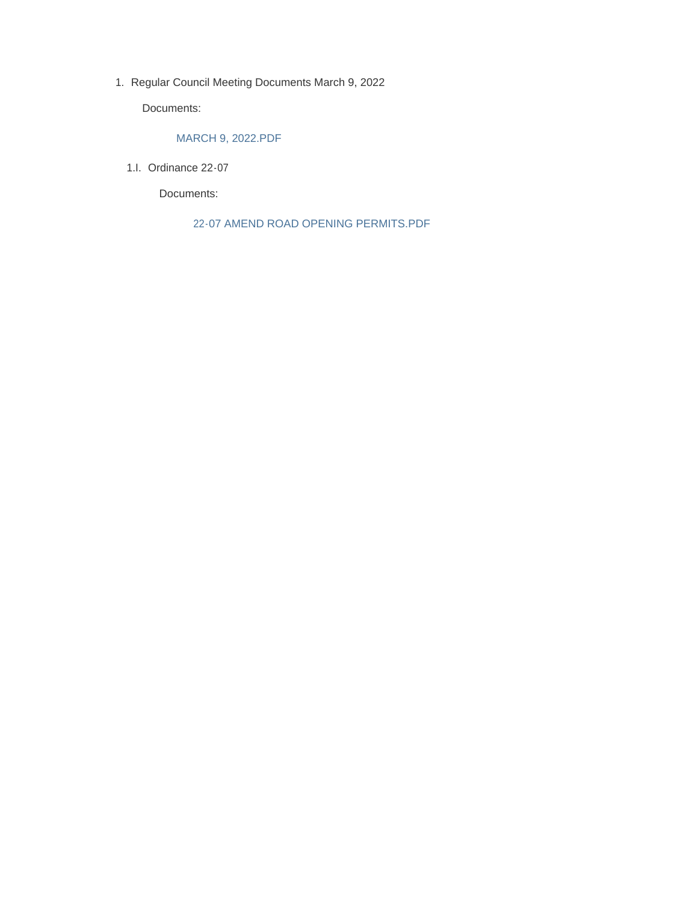1. Regular Council Meeting Documents March 9, 2022

Documents:

### MARCH 9, 2022.PDF

1.I. Ordinance 22-07

Documents:

22-07 AMEND ROAD OPENING PERMITS.PDF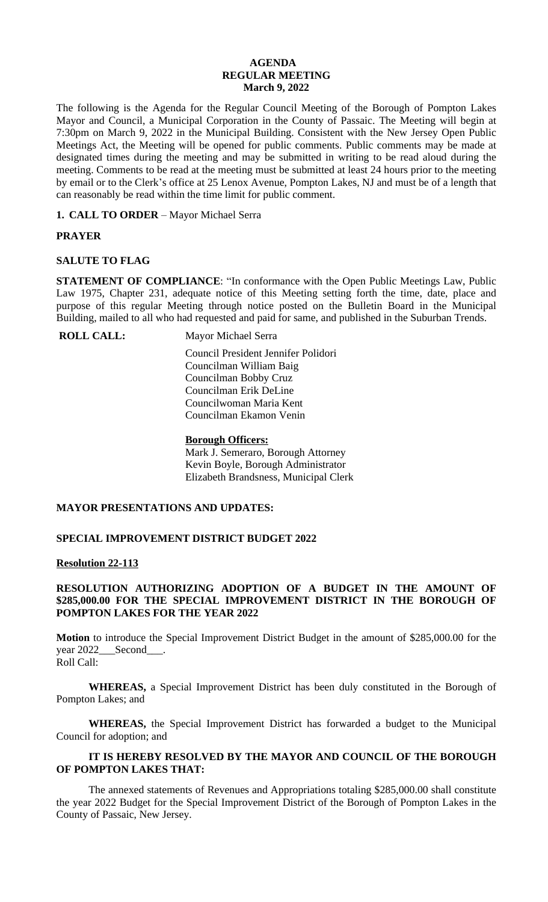### **AGENDA REGULAR MEETING March 9, 2022**

The following is the Agenda for the Regular Council Meeting of the Borough of Pompton Lakes Mayor and Council, a Municipal Corporation in the County of Passaic. The Meeting will begin at 7:30pm on March 9, 2022 in the Municipal Building. Consistent with the New Jersey Open Public Meetings Act, the Meeting will be opened for public comments. Public comments may be made at designated times during the meeting and may be submitted in writing to be read aloud during the meeting. Comments to be read at the meeting must be submitted at least 24 hours prior to the meeting by email or to the Clerk's office at 25 Lenox Avenue, Pompton Lakes, NJ and must be of a length that can reasonably be read within the time limit for public comment.

**1. CALL TO ORDER** – Mayor Michael Serra

# **PRAYER**

## **SALUTE TO FLAG**

**STATEMENT OF COMPLIANCE**: "In conformance with the Open Public Meetings Law, Public Law 1975, Chapter 231, adequate notice of this Meeting setting forth the time, date, place and purpose of this regular Meeting through notice posted on the Bulletin Board in the Municipal Building, mailed to all who had requested and paid for same, and published in the Suburban Trends.

**ROLL CALL:** Mayor Michael Serra

 Council President Jennifer Polidori Councilman William Baig Councilman Bobby Cruz Councilman Erik DeLine Councilwoman Maria Kent Councilman Ekamon Venin

## **Borough Officers:**

Mark J. Semeraro, Borough Attorney Kevin Boyle, Borough Administrator Elizabeth Brandsness, Municipal Clerk

## **MAYOR PRESENTATIONS AND UPDATES:**

# **SPECIAL IMPROVEMENT DISTRICT BUDGET 2022**

## **Resolution 22-113**

## **RESOLUTION AUTHORIZING ADOPTION OF A BUDGET IN THE AMOUNT OF \$285,000.00 FOR THE SPECIAL IMPROVEMENT DISTRICT IN THE BOROUGH OF POMPTON LAKES FOR THE YEAR 2022**

**Motion** to introduce the Special Improvement District Budget in the amount of \$285,000.00 for the year 2022\_\_\_Second\_\_\_\_. Roll Call:

**WHEREAS,** a Special Improvement District has been duly constituted in the Borough of Pompton Lakes; and

**WHEREAS,** the Special Improvement District has forwarded a budget to the Municipal Council for adoption; and

# **IT IS HEREBY RESOLVED BY THE MAYOR AND COUNCIL OF THE BOROUGH OF POMPTON LAKES THAT:**

The annexed statements of Revenues and Appropriations totaling \$285,000.00 shall constitute the year 2022 Budget for the Special Improvement District of the Borough of Pompton Lakes in the County of Passaic, New Jersey.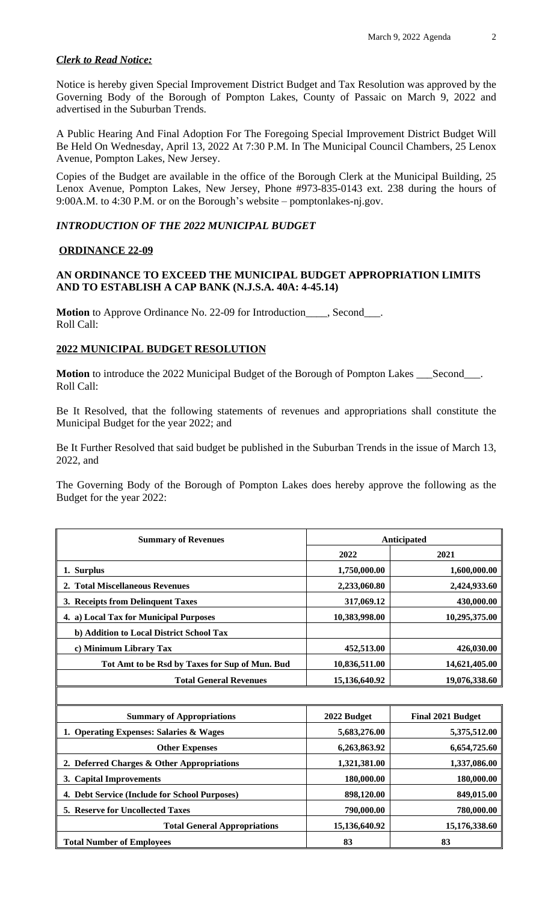## *Clerk to Read Notice:*

Notice is hereby given Special Improvement District Budget and Tax Resolution was approved by the Governing Body of the Borough of Pompton Lakes, County of Passaic on March 9, 2022 and advertised in the Suburban Trends.

A Public Hearing And Final Adoption For The Foregoing Special Improvement District Budget Will Be Held On Wednesday, April 13, 2022 At 7:30 P.M. In The Municipal Council Chambers, 25 Lenox Avenue, Pompton Lakes, New Jersey.

Copies of the Budget are available in the office of the Borough Clerk at the Municipal Building, 25 Lenox Avenue, Pompton Lakes, New Jersey, Phone #973-835-0143 ext. 238 during the hours of 9:00A.M. to 4:30 P.M. or on the Borough's website – pomptonlakes-nj.gov.

### *INTRODUCTION OF THE 2022 MUNICIPAL BUDGET*

### **ORDINANCE 22-09**

## **AN ORDINANCE TO EXCEED THE MUNICIPAL BUDGET APPROPRIATION LIMITS AND TO ESTABLISH A CAP BANK (N.J.S.A. 40A: 4-45.14)**

**Motion** to Approve Ordinance No. 22-09 for Introduction\_\_\_\_, Second\_\_\_. Roll Call:

## **2022 MUNICIPAL BUDGET RESOLUTION**

Motion to introduce the 2022 Municipal Budget of the Borough of Pompton Lakes \_\_\_Second\_\_\_. Roll Call:

Be It Resolved, that the following statements of revenues and appropriations shall constitute the Municipal Budget for the year 2022; and

Be It Further Resolved that said budget be published in the Suburban Trends in the issue of March 13, 2022, and

The Governing Body of the Borough of Pompton Lakes does hereby approve the following as the Budget for the year 2022:

| <b>Summary of Revenues</b>                     | Anticipated   |               |
|------------------------------------------------|---------------|---------------|
|                                                | 2022          | 2021          |
| 1. Surplus                                     | 1,750,000.00  | 1,600,000.00  |
| 2. Total Miscellaneous Revenues                | 2,233,060.80  | 2,424,933.60  |
| 3. Receipts from Delinquent Taxes              | 317,069.12    | 430,000.00    |
| 4. a) Local Tax for Municipal Purposes         | 10,383,998.00 | 10,295,375.00 |
| b) Addition to Local District School Tax       |               |               |
| c) Minimum Library Tax                         | 452,513.00    | 426,030.00    |
| Tot Amt to be Rsd by Taxes for Sup of Mun. Bud | 10,836,511.00 | 14,621,405.00 |
| <b>Total General Revenues</b>                  | 15,136,640.92 | 19,076,338.60 |

| <b>Summary of Appropriations</b>              | 2022 Budget   | <b>Final 2021 Budget</b> |
|-----------------------------------------------|---------------|--------------------------|
| 1. Operating Expenses: Salaries & Wages       | 5,683,276.00  | 5,375,512.00             |
| <b>Other Expenses</b>                         | 6,263,863.92  | 6,654,725.60             |
| 2. Deferred Charges & Other Appropriations    | 1,321,381.00  | 1,337,086.00             |
| 3. Capital Improvements                       | 180,000.00    | 180,000.00               |
| 4. Debt Service (Include for School Purposes) | 898,120.00    | 849,015.00               |
| <b>5. Reserve for Uncollected Taxes</b>       | 790,000.00    | 780,000.00               |
| <b>Total General Appropriations</b>           | 15,136,640.92 | 15,176,338.60            |
| <b>Total Number of Employees</b>              | 83            | 83                       |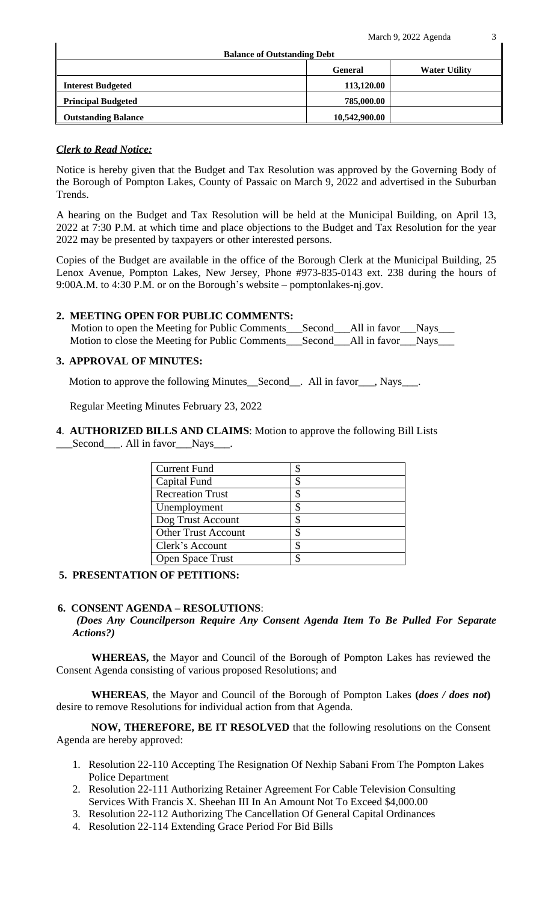March 9, 2022 Agenda  $\frac{3}{1}$ 

| <b>Balance of Outstanding Debt</b> |                |                      |  |
|------------------------------------|----------------|----------------------|--|
|                                    | <b>General</b> | <b>Water Utility</b> |  |
| <b>Interest Budgeted</b>           | 113,120.00     |                      |  |
| <b>Principal Budgeted</b>          | 785,000.00     |                      |  |
| <b>Outstanding Balance</b>         | 10,542,900.00  |                      |  |

## *Clerk to Read Notice:*

Notice is hereby given that the Budget and Tax Resolution was approved by the Governing Body of the Borough of Pompton Lakes, County of Passaic on March 9, 2022 and advertised in the Suburban Trends.

A hearing on the Budget and Tax Resolution will be held at the Municipal Building, on April 13, 2022 at 7:30 P.M. at which time and place objections to the Budget and Tax Resolution for the year 2022 may be presented by taxpayers or other interested persons.

Copies of the Budget are available in the office of the Borough Clerk at the Municipal Building, 25 Lenox Avenue, Pompton Lakes, New Jersey, Phone #973-835-0143 ext. 238 during the hours of 9:00A.M. to 4:30 P.M. or on the Borough's website – pomptonlakes-nj.gov.

## **2. MEETING OPEN FOR PUBLIC COMMENTS:**

Motion to open the Meeting for Public Comments\_\_\_Second\_\_\_All in favor\_\_\_Nays\_\_\_ Motion to close the Meeting for Public Comments\_\_\_Second\_\_\_All in favor\_\_\_Nays\_\_\_

## **3. APPROVAL OF MINUTES:**

Motion to approve the following Minutes\_\_Second\_\_. All in favor\_\_\_, Nays\_\_\_.

Regular Meeting Minutes February 23, 2022

**4**. **AUTHORIZED BILLS AND CLAIMS**: Motion to approve the following Bill Lists \_\_\_Second\_\_\_. All in favor\_\_\_Nays\_\_\_.

| <b>Current Fund</b>        |  |
|----------------------------|--|
| Capital Fund               |  |
| <b>Recreation Trust</b>    |  |
| Unemployment               |  |
| Dog Trust Account          |  |
| <b>Other Trust Account</b> |  |
| Clerk's Account            |  |
| Open Space Trust           |  |

## **5. PRESENTATION OF PETITIONS:**

### **6. CONSENT AGENDA – RESOLUTIONS**:

### *(Does Any Councilperson Require Any Consent Agenda Item To Be Pulled For Separate Actions?)*

**WHEREAS,** the Mayor and Council of the Borough of Pompton Lakes has reviewed the Consent Agenda consisting of various proposed Resolutions; and

**WHEREAS**, the Mayor and Council of the Borough of Pompton Lakes **(***does / does not***)** desire to remove Resolutions for individual action from that Agenda.

**NOW, THEREFORE, BE IT RESOLVED** that the following resolutions on the Consent Agenda are hereby approved:

- 1. Resolution 22-110 Accepting The Resignation Of Nexhip Sabani From The Pompton Lakes Police Department
- 2. Resolution 22-111 Authorizing Retainer Agreement For Cable Television Consulting Services With Francis X. Sheehan III In An Amount Not To Exceed \$4,000.00
- 3. Resolution 22-112 Authorizing The Cancellation Of General Capital Ordinances
- 4. Resolution 22-114 Extending Grace Period For Bid Bills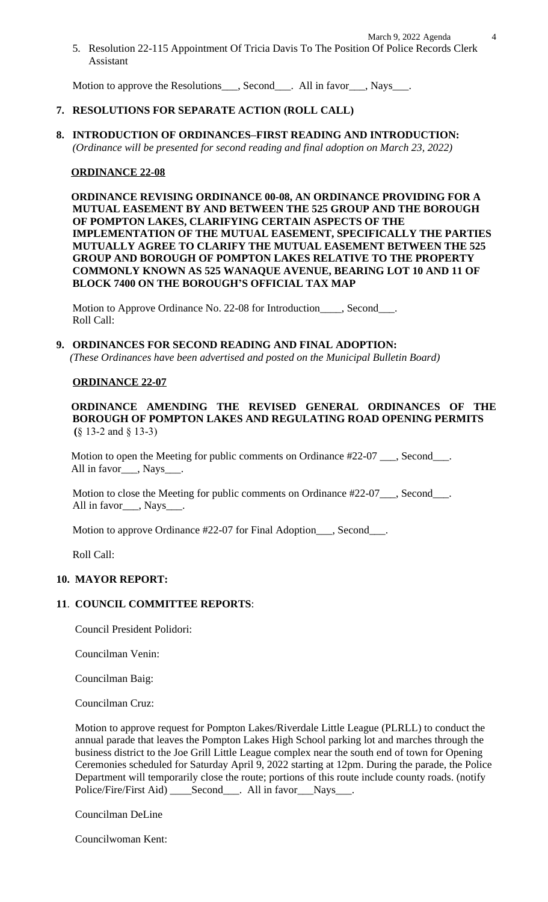Motion to approve the Resolutions<sub>\_\_\_\_</sub>, Second\_\_\_\_. All in favor\_\_\_\_, Nays\_\_\_\_.

# **7. RESOLUTIONS FOR SEPARATE ACTION (ROLL CALL)**

**8. INTRODUCTION OF ORDINANCES–FIRST READING AND INTRODUCTION:**  *(Ordinance will be presented for second reading and final adoption on March 23, 2022)*

## **ORDINANCE 22-08**

 **ORDINANCE REVISING ORDINANCE 00-08, AN ORDINANCE PROVIDING FOR A MUTUAL EASEMENT BY AND BETWEEN THE 525 GROUP AND THE BOROUGH OF POMPTON LAKES, CLARIFYING CERTAIN ASPECTS OF THE IMPLEMENTATION OF THE MUTUAL EASEMENT, SPECIFICALLY THE PARTIES MUTUALLY AGREE TO CLARIFY THE MUTUAL EASEMENT BETWEEN THE 525 GROUP AND BOROUGH OF POMPTON LAKES RELATIVE TO THE PROPERTY COMMONLY KNOWN AS 525 WANAQUE AVENUE, BEARING LOT 10 AND 11 OF BLOCK 7400 ON THE BOROUGH'S OFFICIAL TAX MAP**

Motion to Approve Ordinance No. 22-08 for Introduction\_\_\_\_, Second\_\_\_. Roll Call:

### **9. ORDINANCES FOR SECOND READING AND FINAL ADOPTION:**

 *(These Ordinances have been advertised and posted on the Municipal Bulletin Board)*

### **ORDINANCE 22-07**

**ORDINANCE AMENDING THE REVISED GENERAL ORDINANCES OF THE BOROUGH OF POMPTON LAKES AND REGULATING ROAD OPENING PERMITS (**§ 13-2 and § 13-3)

Motion to open the Meeting for public comments on Ordinance #22-07 \_\_\_, Second\_\_\_. All in favor\_\_\_, Nays\_\_\_\_.

Motion to close the Meeting for public comments on Ordinance #22-07\_\_\_, Second\_\_\_. All in favor\_\_\_, Nays\_\_\_.

Motion to approve Ordinance #22-07 for Final Adoption\_\_\_, Second\_\_\_.

Roll Call:

### **10. MAYOR REPORT:**

## **11**. **COUNCIL COMMITTEE REPORTS**:

Council President Polidori:

Councilman Venin:

Councilman Baig:

Councilman Cruz:

Motion to approve request for Pompton Lakes/Riverdale Little League (PLRLL) to conduct the annual parade that leaves the Pompton Lakes High School parking lot and marches through the business district to the Joe Grill Little League complex near the south end of town for Opening Ceremonies scheduled for Saturday April 9, 2022 starting at 12pm. During the parade, the Police Department will temporarily close the route; portions of this route include county roads. (notify Police/Fire/First Aid) \_\_\_\_Second\_\_\_. All in favor\_\_\_Nays\_\_\_.

Councilman DeLine

Councilwoman Kent: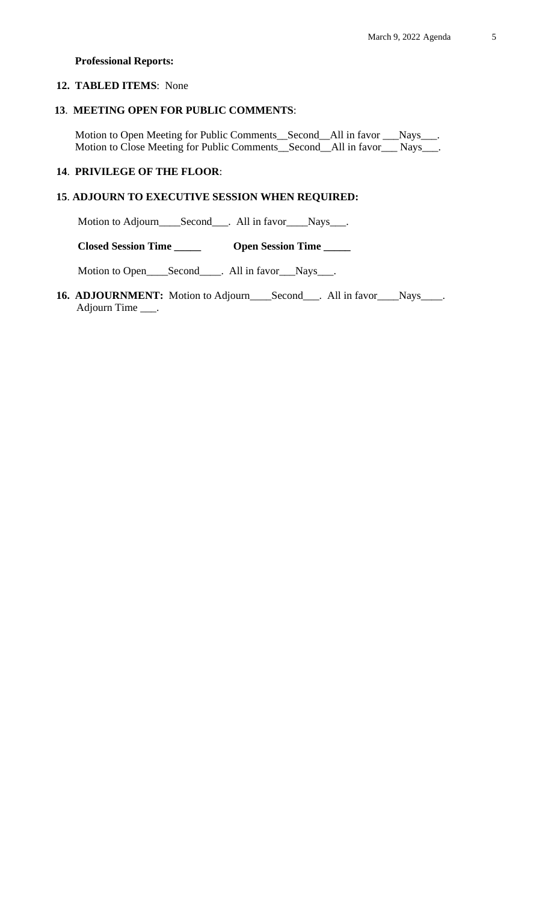## **Professional Reports:**

## **12. TABLED ITEMS**: None

## **13**. **MEETING OPEN FOR PUBLIC COMMENTS**:

 Motion to Open Meeting for Public Comments\_\_Second\_\_All in favor \_\_\_Nays\_\_\_. Motion to Close Meeting for Public Comments\_\_Second\_\_All in favor\_\_\_ Nays\_\_\_.

# **14**. **PRIVILEGE OF THE FLOOR**:

# **15**. **ADJOURN TO EXECUTIVE SESSION WHEN REQUIRED:**

Motion to Adjourn\_\_\_\_Second\_\_\_. All in favor\_\_\_Nays\_\_\_.

 **Closed Session Time \_\_\_\_\_ Open Session Time \_\_\_\_\_**

Motion to Open\_\_\_\_Second\_\_\_\_. All in favor\_\_\_Nays\_\_\_.

16. **ADJOURNMENT:** Motion to Adjourn\_\_\_\_Second\_\_\_. All in favor\_\_\_\_Nays\_\_\_\_. Adjourn Time \_\_\_.